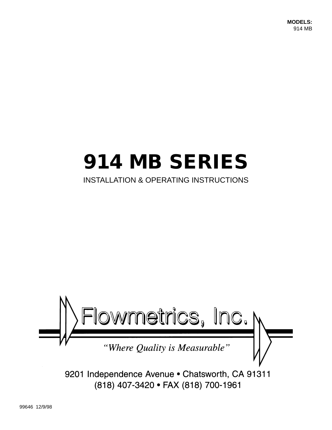**MODELS:** 914 MB

# **914 MB SERIES**

# INSTALLATION & OPERATING INSTRUCTIONS



9201 Independence Avenue . Chatsworth, CA 91311 (818) 407-3420 · FAX (818) 700-1961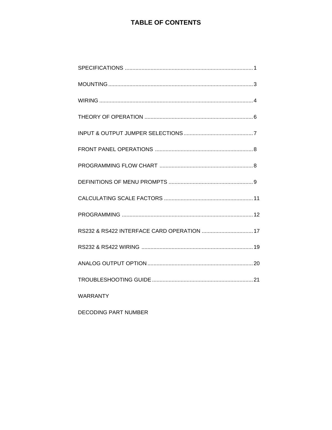# **TABLE OF CONTENTS**

| RS232 & RS422 INTERFACE CARD OPERATION  17 |
|--------------------------------------------|
|                                            |
|                                            |
|                                            |
| <b>WARRANTY</b>                            |

DECODING PART NUMBER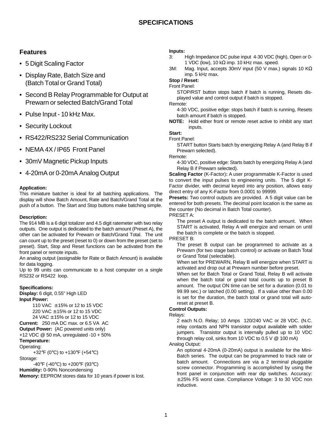# **Features**

- 5 Digit Scaling Factor
- Display Rate, Batch Size and (Batch Total or Grand Total)
- Second B Relay Programmable for Output at Prewarn or selected Batch/Grand Total
- Pulse Input 10 kHz Max.
- Security Lockout
- RS422/RS232 Serial Communication
- NEMA 4X / IP65 Front Panel
- 30mV Magnetic Pickup Inputs
- 4-20mA or 0-20mA Analog Output

#### **Application:**

This miniature batcher is ideal for all batching applications. The display will show Batch Amount, Rate and Batch/Grand Total at the push of a button. The Start and Stop buttons make batching simple.

#### **Description:**

The 914 MB is a 6 digit totalizer and 4.5 digit ratemeter with two relay outputs. One output is dedicated to the batch amount (Preset A), the other can be activated for Prewarn or Batch/Grand Total. The unit can count up to the preset (reset to 0) or down from the preset (set to preset). Start, Stop and Reset functions can be activated from the front panel or remote inputs.

An analog output (assignable for Rate or Batch Amount) is available for data logging.

Up to 99 units can communicate to a host computer on a single RS232 or RS422 loop.

#### **Specifications:**

**Display:** 6 digit, 0.55" High LED **Input Power:**

110 VAC ± 15% or 12 to 15 VDC 220 VAC ± 15% or 12 to 15 VDC 24 VAC ± 15% or 12 to 15 VDC

**Current:** 250 mA DC max. or 6.5 VA AC **Output Power:** (AC powered units only) +12 VDC @ 50 mA, unregulated -10 + 50% **Temperature:**

# Operating:

+32°F (0°C) to +130°F (+54°C) Storage:

-40°F (-40°C) to +200°F (93°C)

**Humidity:** 0-90% Noncondensing

**Memory:** EEPROM stores data for 10 years if power is lost.

#### **Inputs:**

- 3: High Impedance DC pulse input 4-30 VDC (high), Open or 0- 1 VDC (low), 10 k $\Omega$  imp. 10 kHz max. speed.
- 3M: Mag. Input, accepts 30mV input (50 V max.) signals 10 K $\Omega$ imp. 5 kHz max.

# **Stop / Reset:**

Front Panel:

STOP/RST button stops batch if batch is running, Resets displayed value and control output if batch is stopped.

Remote:

4-30 VDC, positive edge: stops batch if batch is running, Resets batch amount if batch is stopped.

**NOTE:** Hold either front or remote reset active to inhibit any start inputs.

**Start:**

#### Front Panel:

START button Starts batch by energizing Relay A (and Relay B if Prewarn selected).

Remote:

4-30 VDC, positive edge: Starts batch by energizing Relay A (and Relay B if Prewarn selected).

**Scaling Factor** (K-Factor)**:** A user programmable K-Factor is used to convert the input pulses to engineering units. The 5 digit K-Factor divider, with decimal keyed into any position, allows easy direct entry of any K-Factor from 0.0001 to 99999.

**Presets:** Two control outputs are provided. A 5 digit value can be entered for both presets. The decimal point location is the same as the counter (No decimal in Batch Total counter).

PRESET A:

The preset A output is dedicated to the batch amount. When START is activated, Relay A will energize and remain on until the batch is complete or the batch is stopped.

PRESET B:

The preset B output can be programmed to activate as a Prewarn (for two stage batch control) or activate on Batch Total or Grand Total (selectable).

When set for PREWARN, Relay B will energize when START is activated and drop out at Prewarn number before preset.

When set for Batch Total or Grand Total, Relay B will activate when the batch total or grand total counts up to preset B amount. The output ON time can be set for a duration (0.01 to 99.99 sec.) or latched (0.00 setting). If a value other than 0.00 is set for the duration, the batch total or grand total will autoreset at preset B.

#### **Control Outputs:**

Relays:

2 each N.O. Relay; 10 Amps 120/240 VAC or 28 VDC. (N.C. relay contacts and NPN transistor output available with solder jumpers. Transistor output is internally pulled up to 10 VDC through relay coil, sinks from 10 VDC to 0.5 V @ 100 mA)

Analog Output:

An optional 4-20mA (0-20mA) output is available for the Mini-Batch series. The output can be programmed to track rate or batch amount. Connections are via a 2 terminal pluggable screw connector. Programming is accomplished by using the front panel in conjunction with rear dip switches. Accuracy: ±.25% FS worst case. Compliance Voltage: 3 to 30 VDC non inductive.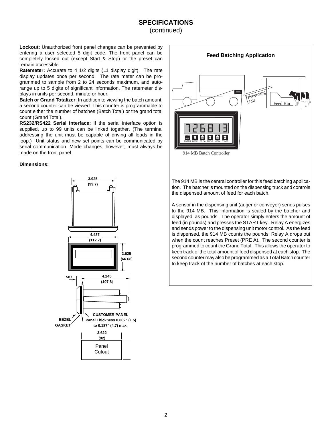# **SPECIFICATIONS** (continued)

**Lockout:** Unauthorized front panel changes can be prevented by entering a user selected 5 digit code. The front panel can be completely locked out (except Start & Stop) or the preset can remain accessible.

**Ratemeter:** Accurate to 4 1/2 digits (±1 display digit). The rate display updates once per second. The rate meter can be programmed to sample from 2 to 24 seconds maximum, and autorange up to 5 digits of significant information. The ratemeter displays in units per second, minute or hour.

**Batch or Grand Totalizer**: In addition to viewing the batch amount, a second counter can be viewed. This counter is programmable to count either the number of batches (Batch Total) or the grand total count (Grand Total).

**RS232/RS422 Serial Interface:** If the serial interface option is supplied, up to 99 units can be linked together. (The terminal addressing the unit must be capable of driving all loads in the loop.) Unit status and new set points can be communicated by serial communication. Mode changes, however, must always be made on the front panel.

#### **Dimensions:**





The 914 MB is the central controller for this feed batching application. The batcher is mounted on the dispensing truck and controls the dispensed amount of feed for each batch.

A sensor in the dispensing unit (auger or conveyer) sends pulses to the 914 MB. This information is scaled by the batcher and displayed as pounds. The operator simply enters the amount of feed (in pounds) and presses the START key. Relay A energizes and sends power to the dispensing unit motor control. As the feed is dispensed, the 914 MB counts the pounds. Relay A drops out when the count reaches Preset (PRE A). The second counter is programmed to count the Grand Total. This allows the operator to keep track of the total amount of feed dispensed at each stop. The second counter may also be programmed as a Total Batch counter to keep track of the number of batches at each stop.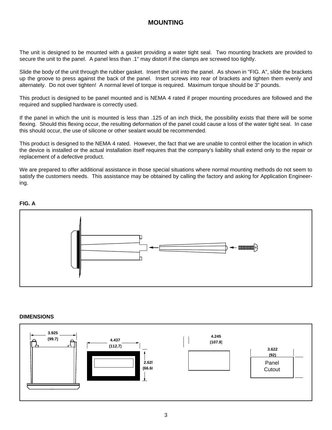# **MOUNTING**

The unit is designed to be mounted with a gasket providing a water tight seal. Two mounting brackets are provided to secure the unit to the panel. A panel less than .1" may distort if the clamps are screwed too tightly.

Slide the body of the unit through the rubber gasket. Insert the unit into the panel. As shown in "FIG. A", slide the brackets up the groove to press against the back of the panel. Insert screws into rear of brackets and tighten them evenly and alternately. Do not over tighten! A normal level of torque is required. Maximum torque should be 3" pounds.

This product is designed to be panel mounted and is NEMA 4 rated if proper mounting procedures are followed and the required and supplied hardware is correctly used.

If the panel in which the unit is mounted is less than .125 of an inch thick, the possibility exists that there will be some flexing. Should this flexing occur, the resulting deformation of the panel could cause a loss of the water tight seal. In case this should occur, the use of silicone or other sealant would be recommended.

This product is designed to the NEMA 4 rated. However, the fact that we are unable to control either the location in which the device is installed or the actual installation itself requires that the company's liability shall extend only to the repair or replacement of a defective product.

We are prepared to offer additional assistance in those special situations where normal mounting methods do not seem to satisfy the customers needs. This assistance may be obtained by calling the factory and asking for Application Engineering.

#### **FIG. A**



#### **DIMENSIONS**

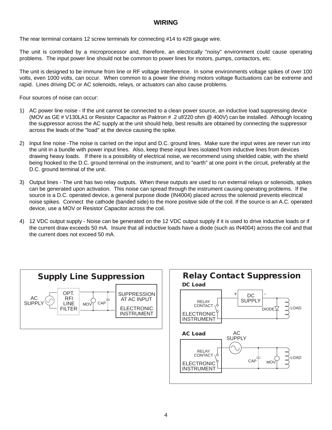## **WIRING**

The rear terminal contains 12 screw terminals for connecting #14 to #28 gauge wire.

The unit is controlled by a microprocessor and, therefore, an electrically "noisy" environment could cause operating problems. The input power line should not be common to power lines for motors, pumps, contactors, etc.

The unit is designed to be immune from line or RF voltage interference. In some environments voltage spikes of over 100 volts, even 1000 volts, can occur. When common to a power line driving motors voltage fluctuations can be extreme and rapid. Lines driving DC or AC solenoids, relays, or actuators can also cause problems.

Four sources of noise can occur:

- 1) AC power line noise If the unit cannot be connected to a clean power source, an inductive load suppressing device (MOV as GE # V130LA1 or Resistor Capacitor as Paktron # .2 uf/220 ohm @ 400V) can be installed. Although locating the suppressor across the AC supply at the unit should help, best results are obtained by connecting the suppressor across the leads of the "load" at the device causing the spike.
- 2) Input line noise -The noise is carried on the input and D.C. ground lines. Make sure the input wires are never run into the unit in a bundle with power input lines. Also, keep these input lines isolated from inductive lines from devices drawing heavy loads. If there is a possibility of electrical noise, we recommend using shielded cable, with the shield being hooked to the D.C. ground terminal on the instrument, and to "earth" at one point in the circuit, preferably at the D.C. ground terminal of the unit.
- 3) Output lines The unit has two relay outputs. When these outputs are used to run external relays or solenoids, spikes can be generated upon activation. This noise can spread through the instrument causing operating problems. If the source is a D.C. operated device, a general purpose diode (IN4004) placed across the solenoid prevents electrical noise spikes. Connect the cathode (banded side) to the more positive side of the coil. If the source is an A.C. operated device, use a MOV or Resistor Capacitor across the coil.
- 4) 12 VDC output supply Noise can be generated on the 12 VDC output supply if it is used to drive inductive loads or if the current draw exceeds 50 mA. Insure that all inductive loads have a diode (such as IN4004) across the coil and that the current does not exceed 50 mA.



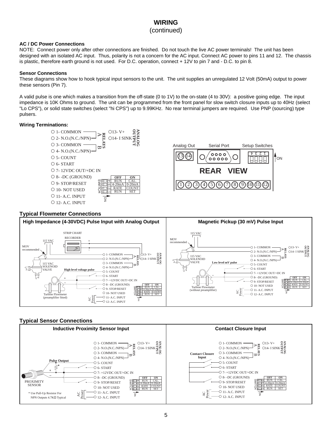# **WIRING**

#### (continued)

#### **AC / DC Power Connections**

NOTE: Connect power only after other connections are finished. Do not touch the live AC power terminals! The unit has been designed with an isolated AC input. Thus, polarity is not a concern for the AC input. Connect AC power to pins 11 and 12. The chassis is plastic, therefore earth ground is not used. For D.C. operation, connect + 12V to pin 7 and - D.C. to pin 8.

#### **Sensor Connections**

These diagrams show how to hook typical input sensors to the unit. The unit supplies an unregulated 12 Volt (50mA) output to power these sensors (Pin 7).

A valid pulse is one which makes a transition from the off-state (0 to 1V) to the on-state (4 to 30V): a positive going edge. The input impedance is 10K Ohms to ground. The unit can be programmed from the front panel for slow switch closure inputs up to 40Hz (select "Lo CPS"), or solid state switches (select "hi CPS") up to 9.99KHz. No rear terminal jumpers are required. Use PNP (sourcing) type pulsers.

#### **Wiring Terminations:**





#### **Typical Flowmeter Connections**



#### **Typical Sensor Connections**

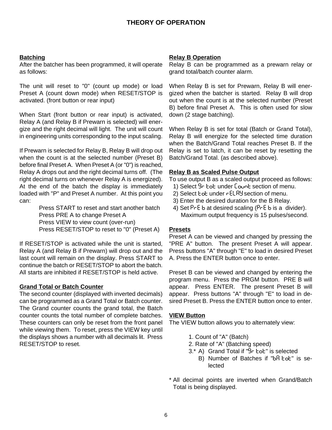## **Batching**

After the batcher has been programmed, it will operate as follows:

The unit will reset to "0" (count up mode) or load Preset A (count down mode) when RESET/STOP is activated. (front button or rear input)

When Start (front button or rear input) is activated, Relay A (and Relay B if Prewarn is selected) will energize and the right decimal will light. The unit will count in engineering units corresponding to the input scaling.

If Prewarn is selected for Relay B, Relay B will drop out when the count is at the selected number (Preset B) before final Preset A. When Preset A (or "0") is reached, Relay A drops out and the right decimal turns off. (The right decimal turns on whenever Relay A is energized). At the end of the batch the display is immediately loaded with "P" and Preset A number. At this point you can:

> Press START to reset and start another batch Press PRE A to change Preset A Press VIEW to view count (over-run) Press RESET/STOP to reset to "0" (Preset A)

If RESET/STOP is activated while the unit is started, Relay A (and Relay B if Prewarn) will drop out and the last count will remain on the display. Press START to continue the batch or RESET/STOP to abort the batch. All starts are inhibited if RESET/STOP is held active.

#### **Grand Total or Batch Counter**

The second counter (displayed with inverted decimals) can be programmed as a Grand Total or Batch counter. The Grand counter counts the grand total, the Batch counter counts the total number of complete batches. These counters can only be reset from the front panel while viewing them. To reset, press the VIEW key until the displays shows a number with all decimals lit. Press RESET/STOP to reset.

#### **Relay B Operation**

Relay B can be programmed as a prewarn relay or grand total/batch counter alarm.

When Relay B is set for Prewarn, Relay B will energized when the batcher is started. Relay B will drop out when the count is at the selected number (Preset B) before final Preset A. This is often used for slow down (2 stage batching).

When Relay B is set for total (Batch or Grand Total), Relay B will energize for the selected time duration when the Batch/Grand Total reaches Preset B. If the Relay is set to latch, it can be reset by resetting the Batch/Grand Total. (as described above).

## **Relay B as Scaled Pulse Output**

To use output B as a scaled output proceed as follows:

- 1) Select  $9 5$  tot under  $5$  ount section of menu.
- 2) Select bob under relay section of menu.
- 3) Enter the desired duration for the B Relay.
- 4) Set  $PrE b$  at desired scaling ( $PrE b$  is a divider). Maximum output frequency is 15 pulses/second.

#### **Presets**

Preset A can be viewed and changed by pressing the "PRE A" button. The present Preset A will appear. Press buttons "A" through "E" to load in desired Preset A. Press the ENTER button once to enter.

Preset B can be viewed and changed by entering the program menu. Press the PRGM button. PRE B will appear. Press ENTER. The present Preset B will appear. Press buttons "A" through "E" to load in desired Preset B. Press the ENTER button once to enter.

#### **VIEW Button**

The VIEW button allows you to alternately view:

- 1. Count of "A" (Batch)
- 2. Rate of "A" (Batching speed)
- 3.\* A) Grand Total if "gr tot" is selected
	- B) Number of Batches if "bR tot" is selected
- \* All decimal points are inverted when Grand/Batch Total is being displayed.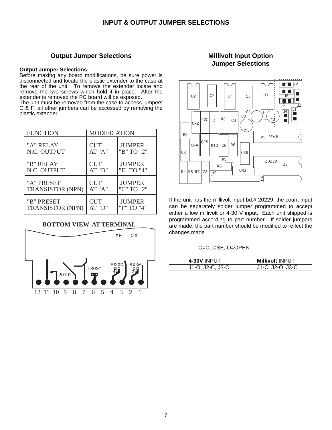## **Output Jumper Selections**

#### **Output Jumper Selections**

Before making any board modifications, be sure power is disconnected and locate the plastic extender to the case at the rear of the unit. To remove the extender locate and remove the two screws which hold it in place. After the extender is removed the PC board will be exposed.

The unit must be removed from the case to access jumpers C & F, all other jumbers can be accessed by removing the plastic extender.

| <b>FUNCTION</b>         | <b>MODIFICATION</b> |               |
|-------------------------|---------------------|---------------|
| "A" RELAY               | <b>CUT</b>          | <b>JUMPER</b> |
| N.C. OUTPUT             | AT "A"              | "B" TO "2"    |
| "B" RELAY               | <b>CUT</b>          | <b>JUMPER</b> |
| N.C. OUTPUT             | AT "D"              | "E" TO "4"    |
| "A" PRESET              | <b>CUT</b>          | <b>JUMPER</b> |
| <b>TRANSISTOR (NPN)</b> | AT "A"              | "C" TO "2"    |
| "B" PRESET              | <b>CUT</b>          | <b>JUMPER</b> |
| <b>TRANSISTOR (NPN)</b> | AT "D"              | "F" TO "4"    |

## **BOTTOM VIEW AT TERMINAL**



# **Millivolt Input Option Jumper Selections**



If the unit has the millivolt input bd.# 20229, the count input can be separately solder jumper programmed to accept either a low millivolt or 4-30 V input. Each unit shipped is programmed according to part number. If solder jumpers are made, the part number should be modified to reflect the changes made

#### C=CLOSE, O=OPEN

| <b>4-30V INPUT</b> | <b>Millivolt INPUT</b> |
|--------------------|------------------------|
| $J1-O, J2-C, J3-O$ | J1-C, J2-O, J3-C       |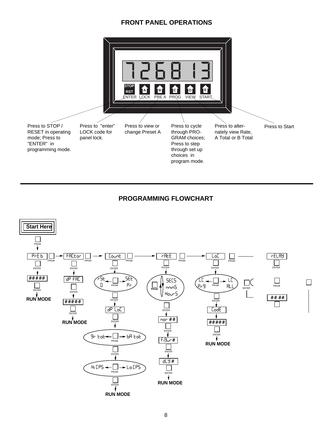# **FRONT PANEL OPERATIONS**



# **PROGRAMMING FLOWCHART**

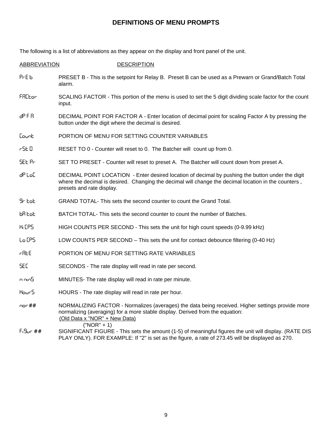# **DEFINITIONS OF MENU PROMPTS**

The following is a list of abbreviations as they appear on the display and front panel of the unit.

#### ABBREVIATION DESCRIPTION

- P<sub>r</sub>E b PRESET B This is the setpoint for Relay B. Preset B can be used as a Prewarn or Grand/Batch Total alarm.
- FREL or SCALING FACTOR This portion of the menu is used to set the 5 digit dividing scale factor for the count input.
- dP F R DECIMAL POINT FOR FACTOR A Enter location of decimal point for scaling Factor A by pressing the button under the digit where the decimal is desired.
- Count **Example PORTION OF MENU FOR SETTING COUNTER VARIABLES**
- r 5 E C RESET TO 0 Counter will reset to 0. The Batcher will count up from 0.
- SEL Pr SET TO PRESET Counter will reset to preset A. The Batcher will count down from preset A.
- d<sup>p</sup> L<sub>o</sub>C DECIMAL POINT LOCATION Enter desired location of decimal by pushing the button under the digit where the decimal is desired. Changing the decimal will change the decimal location in the counters , presets and rate display.
- gr tot GRAND TOTAL- This sets the second counter to count the Grand Total.
- b<sub>a</sub> tot BATCH TOTAL-This sets the second counter to count the number of Batches.
- HIGH COUNTS PER SECOND This sets the unit for high count speeds (0-9.99 kHz)
- Lo CPS LOW COUNTS PER SECOND This sets the unit for contact debounce filtering (0-40 Hz)
- **REE** PORTION OF MENU FOR SETTING RATE VARIABLES
- SEC SECONDS The rate display will read in rate per second.
- minutes- The rate display will read in rate per minute.
- Hour 5 HOURS The rate display will read in rate per hour.
- nor ## NORMALIZING FACTOR Normalizes (averages) the data being received. Higher settings provide more normalizing (averaging) for a more stable display. Derived from the equation: (Old Data x "NOR" + New Data) ("NOR" + 1)
- FIGUR ## SIGNIFICANT FIGURE This sets the amount (1-5) of meaningful figures the unit will display. (RATE DIS PLAY ONLY). FOR EXAMPLE: If "2" is set as the figure, a rate of 273.45 will be displayed as 270.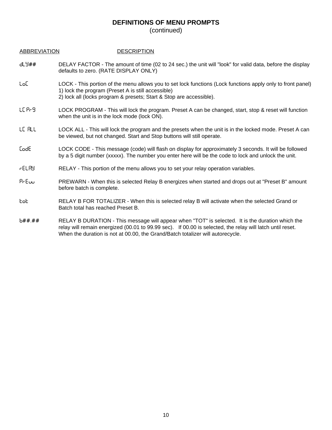# **DEFINITIONS OF MENU PROMPTS**

| <b>ABBREVIATION</b> | <b>DESCRIPTION</b> |
|---------------------|--------------------|
|---------------------|--------------------|

- DLY## DELAY FACTOR The amount of time (02 to 24 sec.) the unit will "look" for valid data, before the display defaults to zero. (RATE DISPLAY ONLY)
- LoC LOCK This portion of the menu allows you to set lock functions (Lock functions apply only to front panel) 1) lock the program (Preset A is still accessible)
	- 2) lock all (locks program & presets; Start & Stop are accessible).
- LC Prg LOCK PROGRAM This will lock the program. Preset A can be changed, start, stop & reset will function when the unit is in the lock mode (lock ON).
- LE RLL LOCK ALL This will lock the program and the presets when the unit is in the locked mode. Preset A can be viewed, but not changed. Start and Stop buttons will still operate.
- CODE LOCK CODE This message (code) will flash on display for approximately 3 seconds. It will be followed by a 5 digit number (xxxxx). The number you enter here will be the code to lock and unlock the unit.
- RELAY RELAY This portion of the menu allows you to set your relay operation variables.
- PrEuu PREWARN When this is selected Relay B energizes when started and drops out at "Preset B" amount before batch is complete.
- TOT RELAY B FOR TOTALIZER When this is selected relay B will activate when the selected Grand or Batch total has reached Preset B.
- b##.## RELAY B DURATION This message will appear when "TOT" is selected. It is the duration which the relay will remain energized (00.01 to 99.99 sec). If 00.00 is selected, the relay will latch until reset. When the duration is not at 00.00, the Grand/Batch totalizer will autorecycle.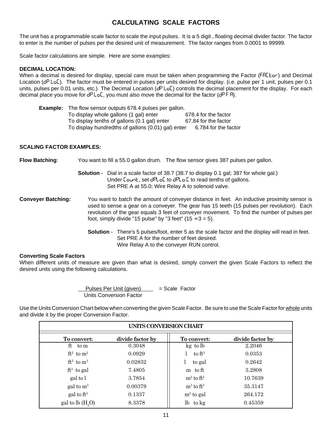# **CALCULATING SCALE FACTORS**

The unit has a programmable scale factor to scale the input pulses. It is a 5 digit , floating decimal divider factor. The factor to enter is the number of pulses per the desired unit of measurement. The factor ranges from 0.0001 to 99999.

Scale factor calculations are simple. Here are some examples:

#### **DECIMAL LOCATION:**

When a decimal is desired for display, special care must be taken when programming the Factor (FRCtor) and Decimal Location  $(d^p \text{LoC})$ . The factor must be entered in pulses per units desired for display. (i.e. pulse per 1 unit, pulses per 0.1 units, pulses per 0.01 units, etc.) The Decimal Location  $(dP\ LoC)$  controls the decimal placement for the display. For each decimal place you move for  $dP$  LoC, you must also move the decimal for the factor ( $dP$  F R).

| <b>Example:</b> The flow sensor outputs 678.4 pulses per gallon. |                      |
|------------------------------------------------------------------|----------------------|
| To display whole gallons (1 gal) enter                           | 678.4 for the factor |
| To display tenths of gallons (0.1 gal) enter                     | 67.84 for the factor |
| To display hundredths of gallons (0.01) gal) enter               | 6.784 for the factor |

#### **SCALING FACTOR EXAMPLES:**

**Flow Batching**: You want to fill a 55.0 gallon drum. The flow sensor gives 387 pulses per gallon. **Solution** - Dial in a scale factor of 38.7 (38.7 to display 0.1 gal; 387 for whole gal.) Under Count, set dPLoC to dPLo.C to read tenths of gallons. Set PRE A at 55.0; Wire Relay A to solenoid valve. **Conveyer Batching:** You want to batch the amount of conveyer distance in feet. An inductive proximity sensor is used to sense a gear on a conveyer. The gear has 15 teeth (15 pulses per revolution). Each revolution of the gear equals 3 feet of conveyer movement. To find the number of pulses per foot, simply divide "15 pulse" by "3 feet"  $(15 \div 3 = 5)$ . **Solution** - There's 5 pulses/foot, enter 5 as the scale factor and the display will read in feet. Set PRE A for the number of feet desired. Wire Relay A to the conveyer RUN control.

#### **Converting Scale Factors**

When different units of measure are given than what is desired, simply convert the given Scale Factors to reflect the desired units using the following calculations.

> Pulses Per Unit (given) = Scale Factor Units Conversion Factor

Use the Units Conversion Chart below when converting the given Scale Factor. Be sure to use the Scale Factor for whole units and divide it by the proper Conversion Factor.

| UNITS CONVERSION CHART |                                   |                  |  |
|------------------------|-----------------------------------|------------------|--|
| divide factor by       | To convert:                       | divide factor by |  |
| 0.3048                 | kg to lb                          | 2.2046           |  |
| 0.0929                 | to $ft^3$                         | 0.0353           |  |
| 0.02832                | to gal                            | 0.2642           |  |
| 7.4805                 | m to ft                           | 3.2808           |  |
| 3.7854                 | $m2$ to $ft2$                     | 10.7639          |  |
| 0.00379                | $\mathrm{m}^3$ to $\mathrm{ft}^3$ | 35.3147          |  |
| 0.1337                 | $m3$ to gal                       | 264.172          |  |
| 8.3378                 | lb to kg                          | 0.45359          |  |
|                        |                                   |                  |  |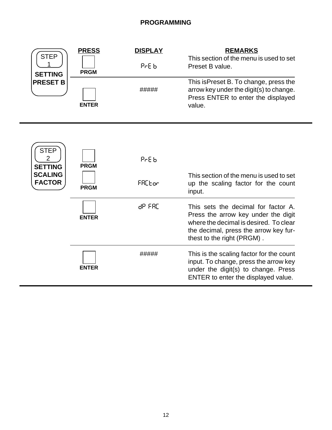| <b>STEP</b>                        | <b>PRESS</b> | <b>DISPLAY</b> | <b>REMARKS</b>                                                                                                                                                                              |
|------------------------------------|--------------|----------------|---------------------------------------------------------------------------------------------------------------------------------------------------------------------------------------------|
| <b>SETTING</b>                     | <b>PRGM</b>  | PrE 6          | This section of the menu is used to set<br>Preset B value.                                                                                                                                  |
| <b>PRESET B</b>                    | <b>ENTER</b> | #####          | This is Preset B. To change, press the<br>arrow key under the digit(s) to change.<br>Press ENTER to enter the displayed<br>value.                                                           |
|                                    |              |                |                                                                                                                                                                                             |
| <b>STEP</b><br>2<br><b>SETTING</b> | <b>PRGM</b>  | $PrE_b$        |                                                                                                                                                                                             |
| <b>SCALING</b><br><b>FACTOR</b>    | <b>PRGM</b>  | FACtor         | This section of the menu is used to set<br>up the scaling factor for the count<br>input.                                                                                                    |
|                                    | <b>ENTER</b> | 8P FRE         | This sets the decimal for factor A.<br>Press the arrow key under the digit<br>where the decimal is desired. To clear<br>the decimal, press the arrow key fur-<br>thest to the right (PRGM). |
|                                    | <b>ENTER</b> | #####          | This is the scaling factor for the count<br>input. To change, press the arrow key<br>under the digit(s) to change. Press<br>ENTER to enter the displayed value.                             |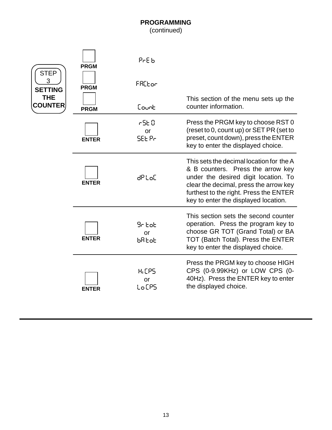| <b>STEP</b>                  | <b>PRGM</b>  | PrE 6                             |                                                                                                                                                                                                                                                   |
|------------------------------|--------------|-----------------------------------|---------------------------------------------------------------------------------------------------------------------------------------------------------------------------------------------------------------------------------------------------|
| 3<br><b>SETTING</b>          | <b>PRGM</b>  | FACtor                            |                                                                                                                                                                                                                                                   |
| <b>THE</b><br><b>COUNTER</b> | <b>PRGM</b>  | Count                             | This section of the menu sets up the<br>counter information.                                                                                                                                                                                      |
|                              | <b>ENTER</b> | r SE O<br>or<br><b>SEE Pr</b>     | Press the PRGM key to choose RST 0<br>(reset to 0, count up) or SET PR (set to<br>preset, count down), press the ENTER<br>key to enter the displayed choice.                                                                                      |
|                              | <b>ENTER</b> | dPtoE                             | This sets the decimal location for the A<br>& B counters. Press the arrow key<br>under the desired digit location. To<br>clear the decimal, press the arrow key<br>furthest to the right. Press the ENTER<br>key to enter the displayed location. |
|                              | <b>ENTER</b> | 9r EoE<br>or<br>ხმხინ             | This section sets the second counter<br>operation. Press the program key to<br>choose GR TOT (Grand Total) or BA<br>TOT (Batch Total). Press the ENTER<br>key to enter the displayed choice.                                                      |
|                              | <b>ENTER</b> | H <sub>1</sub> CPS<br>or<br>LoCPS | Press the PRGM key to choose HIGH<br>CPS (0-9.99KHz) or LOW CPS (0-<br>40Hz). Press the ENTER key to enter<br>the displayed choice.                                                                                                               |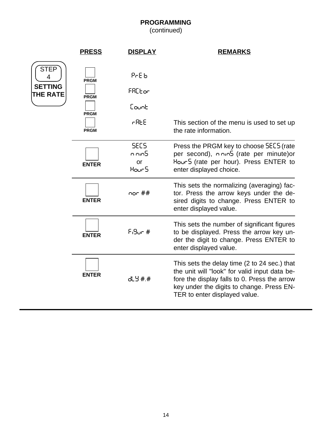| <b>PRESS</b>                                             | <b>DISPLAY</b>                      | <b>REMARKS</b>                                                                                                                                                                                                              |
|----------------------------------------------------------|-------------------------------------|-----------------------------------------------------------------------------------------------------------------------------------------------------------------------------------------------------------------------------|
| <b>PRGM</b><br><b>PRGM</b><br><b>PRGM</b><br><b>PRGM</b> | $PrE_b$<br>FRCEor<br>Eount<br>5∃R F | This section of the menu is used to set up<br>the rate information.                                                                                                                                                         |
| <b>ENTER</b>                                             | SECS<br>n nin5<br>or<br>Hour5       | Press the PRGM key to choose SECS (rate<br>per second), onnos (rate per minute) or<br>Hour5 (rate per hour). Press ENTER to<br>enter displayed choice.                                                                      |
| <b>ENTER</b>                                             | nor $**$                            | This sets the normalizing (averaging) fac-<br>tor. Press the arrow keys under the de-<br>sired digits to change. Press ENTER to<br>enter displayed value.                                                                   |
| <b>ENTER</b>                                             | $F_19$ un #                         | This sets the number of significant figures<br>to be displayed. Press the arrow key un-<br>der the digit to change. Press ENTER to<br>enter displayed value.                                                                |
| <b>ENTER</b>                                             | 6년9 #.#                             | This sets the delay time (2 to 24 sec.) that<br>the unit will "look" for valid input data be-<br>fore the display falls to 0. Press the arrow<br>key under the digits to change. Press EN-<br>TER to enter displayed value. |
|                                                          |                                     |                                                                                                                                                                                                                             |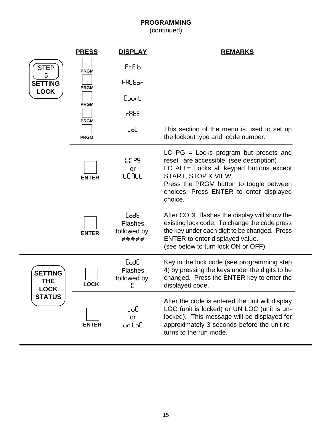|                                             | <b>PRESS</b> | <b>DISPLAY</b>                                  | <b>REMARKS</b>                                                                                                                                                                                                                                        |
|---------------------------------------------|--------------|-------------------------------------------------|-------------------------------------------------------------------------------------------------------------------------------------------------------------------------------------------------------------------------------------------------------|
| <b>STEP</b>                                 | <b>PRGM</b>  | PrE 6                                           |                                                                                                                                                                                                                                                       |
| 5<br><b>SETTING</b>                         | <b>PRGM</b>  | <b>FRCEor</b>                                   |                                                                                                                                                                                                                                                       |
| <b>LOCK</b>                                 | <b>PRGM</b>  | Count                                           |                                                                                                                                                                                                                                                       |
|                                             | <b>PRGM</b>  | <b>AREE</b>                                     |                                                                                                                                                                                                                                                       |
|                                             | <b>PRGM</b>  | toC.                                            | This section of the menu is used to set up<br>the lockout type and code number.                                                                                                                                                                       |
|                                             | <b>ENTER</b> | LC PS<br><b>or</b><br>LEALL                     | LC $PG =$ Locks program but presets and<br>reset are accessible. (see description)<br>LC ALL= Locks all keypad buttons except<br>START, STOP & VIEW.<br>Press the PRGM button to toggle between<br>choices; Press ENTER to enter displayed<br>choice. |
|                                             | <b>ENTER</b> | CodE<br><b>Flashes</b><br>followed by:<br>***** | After CODE flashes the display will show the<br>existing lock code. To change the code press<br>the key under each digit to be changed. Press<br>ENTER to enter displayed value.<br>(see below to turn lock ON or OFF)                                |
| <b>SETTING</b><br><b>THE</b><br><b>LOCK</b> | <b>LOCK</b>  | CodE<br><b>Flashes</b><br>followed by:<br>0     | Key in the lock code (see programming step<br>4) by pressing the keys under the digits to be<br>changed. Press the ENTER key to enter the<br>displayed code.                                                                                          |
| <b>STATUS</b>                               | <b>ENTER</b> | toC<br>or<br>untoE                              | After the code is entered the unit will display<br>LOC (unit is locked) or UN LOC (unit is un-<br>locked). This message will be displayed for<br>approximately 3 seconds before the unit re-<br>turns to the run mode.                                |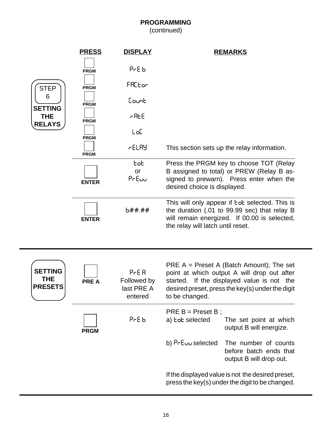|                                                | <b>PRESS</b> | <b>DISPLAY</b>                               | <b>REMARKS</b>                                                                                                                                                                                                |
|------------------------------------------------|--------------|----------------------------------------------|---------------------------------------------------------------------------------------------------------------------------------------------------------------------------------------------------------------|
|                                                | <b>PRGM</b>  | PrE 6                                        |                                                                                                                                                                                                               |
| <b>STEP</b>                                    | <b>PRGM</b>  | FRCtor                                       |                                                                                                                                                                                                               |
| 6                                              | <b>PRGM</b>  | Count                                        |                                                                                                                                                                                                               |
| <b>SETTING</b><br><b>THE</b><br><b>RELAYS</b>  | <b>PRGM</b>  | r REE                                        |                                                                                                                                                                                                               |
|                                                | <b>PRGM</b>  | toC                                          |                                                                                                                                                                                                               |
|                                                | <b>PRGM</b>  | 6ELAY                                        | This section sets up the relay information.                                                                                                                                                                   |
|                                                | <b>ENTER</b> | tot<br>or<br>PrEuu                           | Press the PRGM key to choose TOT (Relay<br>B assigned to total) or PREW (Relay B as-<br>signed to prewarn). Press enter when the<br>desired choice is displayed.                                              |
|                                                | <b>ENTER</b> | 5##.##                                       | This will only appear if tot selected. This is<br>the duration (.01 to 99.99 sec) that relay B<br>will remain energized. If 00.00 is selected,<br>the relay will latch until reset.                           |
|                                                |              |                                              |                                                                                                                                                                                                               |
| <b>SETTING</b><br><b>THE</b><br><b>PRESETS</b> | <b>PREA</b>  | PrER<br>Followed by<br>last PRE A<br>entered | PRE $A =$ Preset A (Batch Amount); The set<br>point at which output A will drop out after<br>started. If the displayed value is not the<br>desired preset, press the key(s) under the digit<br>to be changed. |
|                                                | <b>PRGM</b>  | PrE 6                                        | $PRE B = Present B$ ;<br>a) bob selected<br>The set point at which<br>output B will energize.                                                                                                                 |
|                                                |              |                                              | b) PrEuu selected<br>The number of counts<br>before batch ends that<br>output B will drop out.                                                                                                                |
|                                                |              |                                              | If the displayed value is not the desired preset,<br>press the key(s) under the digit to be changed.                                                                                                          |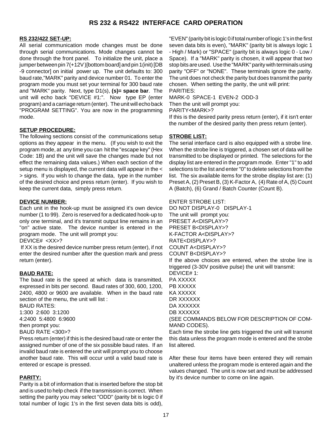# **RS 232 & RS422 INTERFACE CARD OPERATION**

#### **RS 232/422 SET-UP:**

All serial communication mode changes must be done through serial communications. Mode changes cannot be done through the front panel. To initialize the unit, place a jumper between pin 7(+12V )[bottom board] and pin 1(init) [DB -9 connector] on initial power up. The unit defaults to: 300 baud rate,"MARK" parity and device number 01. To enter the program mode you must set your terminal for 300 baud rate and "MARK" parity. Next, type D1(s), **(s)= space bar**. The unit will echo back "DEVICE #1:". Now type EP (enter program) and a carriage return (enter). The unit will echo back "PROGRAM SETTING". You are now in the programming mode.

#### **SETUP PROCEDURE:**

The following sections consist of the communications setup options as they appear in the menu. (If you wish to exit the program mode, at any time you can hit the "escape key" (Hex Code: 1B) and the unit will save the changes made but not effect the remaining data values.) When each section of the setup menu is displayed, the current data will appear in the < > signs. If you wish to change the data, type in the number of the desired choice and press return (enter). If you wish to keep the current data, simply press return.

#### **DEVICE NUMBER:**

Each unit in the hook-up must be assigned it's own device number (1 to 99). Zero is reserved for a dedicated hook-up to only one terminal, and it's transmit output line remains in an "on" active state. The device number is entered in the program mode. The unit will prompt you:

DEVICE# <XX>?

 If XX is the desired device number press return (enter), if not enter the desired number after the question mark and press return (enter).

#### **BAUD RATE:**

The baud rate is the speed at which data is transmitted, expressed in bits per second. Baud rates of 300, 600, 1200, 2400, 4800 or 9600 are available. When in the baud rate section of the menu, the unit will list :

BAUD RATES: 1:300 2:600 3:1200 4:2400 5:4800 6:9600 then prompt you: BAUD RATE <300>?

Press return (enter) if this is the desired baud rate or enter the assigned number of one of the six possible baud rates. If an invalid baud rate is entered the unit will prompt you to choose another baud rate. This will occur until a valid baud rate is entered or escape is pressed.

#### **PARITY:**

Parity is a bit of information that is inserted before the stop bit and is used to help check if the transmission is correct. When setting the parity you may select "ODD" (parity bit is logic 0 if total number of logic 1's in the first seven data bits is odd),

"EVEN" (parity bit is logic 0 if total number of logic 1's in the first seven data bits is even), "MARK" (parity bit is always logic 1 - High / Mark) or "SPACE" (parity bit is always logic 0 - Low / Space). If a "MARK" parity is chosen, it will appear that two stop bits are used. Use the "MARK" parity with terminals using parity "OFF" or "NONE". These terminals ignore the parity. The unit does not check the parity but does transmit the parity chosen. When setting the parity, the unit will print: PARITIES:

MARK-0 SPACE-1 EVEN-2 ODD-3

Then the unit will prompt you:

PARITY<MARK>?

If this is the desired parity press return (enter), if it isn't enter the number of the desired parity then press return (enter).

#### **STROBE LIST:**

The serial interface card is also equipped with a strobe line. When the strobe line is triggered, a chosen set of data will be transmitted to be displayed or printed. The selections for the display list are entered in the program mode. Enter "1" to add selections to the list and enter "0" to delete selections from the list. The six available items for the strobe display list are: (1) Preset A, (2) Preset B, (3) K-Factor A, (4) Rate of A, (5) Count A (Batch), (6) Grand / Batch Counter (Count B).

ENTER STROBE LIST:

DO NOT DISPLAY-0 DISPLAY-1 The unit will prompt you: PRESET A<DISPLAY>? PRESET B<DISPLAY>? K-FACTOR A<DISPLAY>? RATE<DISPLAY>? COUNT A<DISPLAY>? COUNT B<DISPLAY>? If the above choices are entered, when the strobe line is triggered (3-30V positive pulse) the unit will transmit: DEVICE# 1: PA XXXXX PB XXXXX KA XXXXX DR XXXXXX DA XXXXXX DB XXXXXX (SEE COMMANDS BELOW FOR DESCRIPTION OF COM-MAND CODES). Each time the strobe line gets triggered the unit will transmit this data unless the program mode is entered and the strobe list altered.

After these four items have been entered they will remain unaltered unless the program mode is entered again and the values changed. The unit is now set and must be addressed by it's device number to come on line again.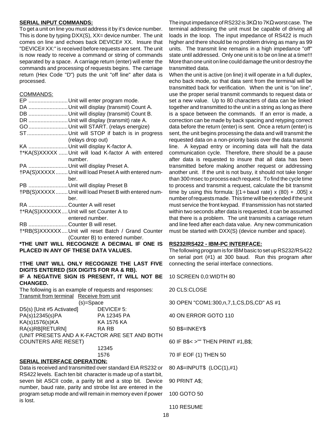#### **SERIAL INPUT COMMANDS:**

To get a unit on line you must address it by it's device number. This is done by typing DXX(S), XX= device number. The unit comes on line and echoes back DEVICE# XX. Insure that "DEVICE# XX:" is received before requests are sent. The unit is now ready to receive a command or string of commands separated by a space. A carriage return (enter) will enter the commands and processing of requests begins. The carriage return (Hex Code "D") puts the unit "off line" after data is processed.

#### COMMANDS:

| EP Unit will enter program mode.                       |
|--------------------------------------------------------|
| DA Unit will display (transmit) Count A.               |
| DB Unit will display (transmit) Count B.               |
| DR  Unit will display (transmit) rate A.               |
| GO  Unit will START. (relays energize)                 |
| STUnit will STOP if batch is in progress               |
| (relays drop out)                                      |
| KA Unit will display K-factor A.                       |
| †*KA(S)XXXXX  Unit will load K-factor A with entered   |
| number.                                                |
| PA Unit will display Preset A.                         |
| †PA(S)XXXXX  Unit will load Preset A with entered num- |
| ber.                                                   |
| PB Unit will display Preset B                          |
| †PB(S)XXXXX  Unit will load Preset B with entered num- |
| ber.                                                   |
| RA Counter A will reset                                |
| †*RA(S)XXXXXX  Unit will set Counter A to              |
| entered number.                                        |
| RB Counter B will reset.                               |
| †*RB(S)XXXXXX Unit will reset Batch / Grand Counter    |
| (Counter B) to entered number.                         |
|                                                        |

**\*THE UNIT WILL RECOGNIZE A DECIMAL IF ONE IS PLACED IN ANY OF THESE DATA VALUES.**

#### **†THE UNIT WILL ONLY RECOGNIZE THE LAST FIVE DIGITS ENTERED (SIX DIGITS FOR RA & RB). IF A NEGATIVE SIGN IS PRESENT, IT WILL NOT BE CHANGED.**

The following is an example of requests and responses: Transmit from terminal Receive from unit

(s)=Space D5(s) [Unit #5 Activated] DEVICE# 5: PA(s)12345(s)PA PA 12345 PA KA(s)1576(s)KA KA 1576 KA RA(s)RB[RETURN] RA RB (UNIT PRESETS AND A K-FACTOR ARE SET AND BOTH COUNTERS ARE RESET) 12345

1576

#### **SERIAL INTERFACE OPERATION:**

Data is received and transmitted over standard EIA RS232 or RS422 levels. Each ten bit character is made up of a start bit, seven bit ASCII code, a parity bit and a stop bit. Device number, baud rate, parity and strobe list are entered in the program setup mode and will remain in memory even if power is lost.

The input impedance of RS232 is 3KΩ to 7KΩ worst case. The terminal addressing the unit must be capable of driving all loads in the loop. The input impedance of RS422 is much higher and there should be no problem driving as many as 99 units. The transmit line remains in a high impedance "off" state until addressed. Only one unit is to be on line at a time!!! More than one unit on line could damage the unit or destroy the transmitted data.

When the unit is active (on line) it will operate in a full duplex, echo back mode, so that data sent from the terminal will be transmitted back for verification. When the unit is "on line", use the proper serial transmit commands to request data or set a new value. Up to 80 characters of data can be linked together and transmitted to the unit in a string as long as there is a space between the commands. If an error is made, a correction can be made by back spacing and retyping correct data before the return (enter) is sent. Once a return (enter) is sent, the unit begins processing the data and will transmit the requested data on a non-priority basis over the data transmit line. A keypad entry or incoming data will halt the data communication cycle. Therefore, there should be a pause after data is requested to insure that all data has been transmitted before making another request or addressing another unit. If the unit is not busy, it should not take longer than 300 msec to process each request. To find the cycle time to process and transmit a request, calculate the bit transmit time by using this formula:  $[(1 \div \text{baud rate}) \times (80) + .005] \times$ number of requests made. This time will be extended if the unit must service the front keypad. If transmission has not started within two seconds after data is requested, it can be assumed that there is a problem. The unit transmits a carriage return and line feed after each data value. Any new communication must be started with DXX(S) (device number and space).

#### **RS232/RS422 - IBM-PC INTERFACE:**

The following program is for IBM basic to set up RS232/RS422 on serial port (#1) at 300 baud. Run this program after connecting the serial interface connections.

10 SCREEN 0,0:WIDTH 80

20 CLS:CLOSE

30 OPEN "COM1:300,n,7,1,CS,DS,CD" AS #1

40 ON ERROR GOTO 110

50 B\$=INKEY\$

60 IF B\$< >"" THEN PRINT #1,B\$;

70 IF EOF (1) THEN 50

80 A\$=INPUT\$ (LOC(1),#1)

```
90 PRINT A$;
```

```
100 GOTO 50
```
110 RESUME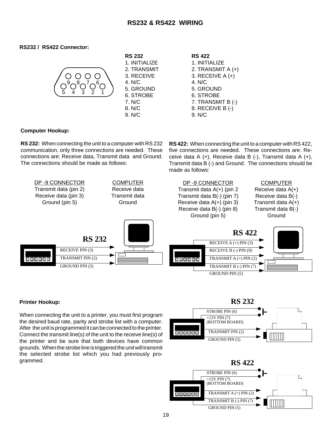# **RS232 & RS422 WIRING**

#### **RS232 / RS422 Connector:**



#### **Computer Hookup:**

**RS 232:** When connecting the unit to a computer with RS 232 communication, only three connections are needed. These connections are: Receive data, Transmit data and Ground. The connections should be made as follows:

**RS 422:** When connecting the unit to a computer with RS 422, five connections are needed. These connections are: Receive data A (+), Receive data B (-), Transmit data A (+), Transmit data B (-) and Ground. The connections should be made as follows:



#### **Printer Hookup:**

When connecting the unit to a printer, you must first program the desired baud rate, parity and strobe list with a computer. After the unit is programmed it can be connected to the printer. Connect the transmit line(s) of the unit to the receive line(s) of the printer and be sure that both devices have common grounds. When the strobe line is triggered the unit will transmit the selected strobe list which you had previously programmed.



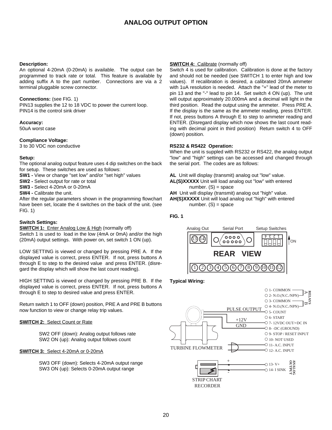# **ANALOG OUTPUT OPTION**

#### **Description:**

An optional 4-20mA (0-20mA) is available. The output can be programmed to track rate or total. This feature is available by adding suffix A to the part number. Connections are via a 2 terminal pluggable screw connector.

#### **Connections:** (see FIG. 1)

PIN13 supplies the 12 to 18 VDC to power the current loop. PIN14 is the control sink driver

#### **Accuracy:**

50uA worst case

#### **Compliance Voltage:**

3 to 30 VDC non conductive

#### **Setup:**

The optional analog output feature uses 4 dip switches on the back for setup. These switches are used as follows:

- **SW1 -** View or change "set low" and/or "set high" values
- **SW2** Select output for rate or total
- **SW3** Select 4-20mA or 0-20mA
- **SW4** Calibrate the unit.

After the regular parameters shown in the programming flowchart have been set, locate the 4 switches on the back of the unit. (see FIG. 1)

#### **Switch Settings:**

**SWITCH 1:** Enter Analog Low & High (normally off)

Switch 1 is used to load in the low (4mA or 0mA) and/or the high (20mA) output settings. With power on, set switch 1 ON (up).

LOW SETTING is viewed or changed by pressing PRE A. If the displayed value is correct, press ENTER. If not, press buttons A through E to step to the desired value and press ENTER. (disregard the display which will show the last count reading).

HIGH SETTING is viewed or changed by pressing PRE B. If the displayed value is correct, press ENTER. If not, press buttons A through E to step to desired value and press ENTER.

Return switch 1 to OFF (down) position, PRE A and PRE B buttons now function to view or change relay trip values.

#### **SWITCH 2:** Select Count or Rate

SW2 OFF (down): Analog output follows rate SW2 ON (up): Analog output follows count

#### **SWITCH 3:** Select 4-20mA or 0-20mA

SW3 OFF (down): Selects 4-20mA output range SW3 ON (up): Selects 0-20mA output range

#### **SWITCH 4:** Calibrate (normally off)

Switch 4 is used for calibration. Calibration is done at the factory and should not be needed (see SWITCH 1 to enter high and low values). If recalibration is desired, a calibrated 20mA ammeter with 1uA resolution is needed. Attach the "+" lead of the meter to pin 13 and the "-" lead to pin 14. Set switch 4 ON (up). The unit will output approximately 20.000mA and a decimal will light in the third position. Read the output using the ammeter. Press PRE A. If the display is the same as the ammeter reading, press ENTER. If not, press buttons A through E to step to ammeter reading and ENTER. (Disregard display which now shows the last count reading with decimal point in third position) Return switch 4 to OFF (down) position.

#### **RS232 & RS422 Operation:**

When the unit is suppled with RS232 or RS422, the analog output "low" and "high" settings can be accessed and changed through the serial port. The codes are as follows:

- **AL** Unit will display (transmit) analog out "low" value.
- **AL(S)XXXXX** Unit will load analog out "low" with entered number.  $(S)$  = space
- **AH** Unit will display (transmit) analog out "high" value.
- **AH(S)XXXXX** Unit will load analog out "high" with entered number.  $(S)$  = space

#### **FIG. 1**



#### **Typical Wiring:**

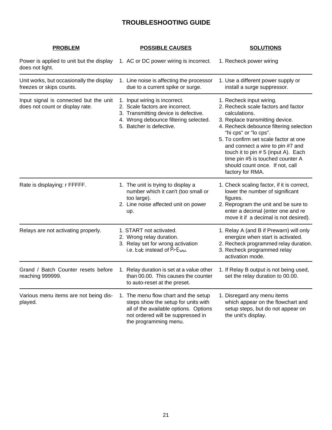# **TROUBLESHOOTING GUIDE**

| <b>PROBLEM</b>                                                            | <b>POSSIBLE CAUSES</b>                                                                                                                                                             | <b>SOLUTIONS</b>                                                                                                                                                                                                                                                                                                                                                                                       |
|---------------------------------------------------------------------------|------------------------------------------------------------------------------------------------------------------------------------------------------------------------------------|--------------------------------------------------------------------------------------------------------------------------------------------------------------------------------------------------------------------------------------------------------------------------------------------------------------------------------------------------------------------------------------------------------|
| Power is applied to unit but the display<br>does not light.               | 1. AC or DC power wiring is incorrect.                                                                                                                                             | 1. Recheck power wiring                                                                                                                                                                                                                                                                                                                                                                                |
| Unit works, but occasionally the display<br>freezes or skips counts.      | 1. Line noise is affecting the processor<br>due to a current spike or surge.                                                                                                       | 1. Use a different power supply or<br>install a surge suppressor.                                                                                                                                                                                                                                                                                                                                      |
| Input signal is connected but the unit<br>does not count or display rate. | 1. Input wiring is incorrect.<br>2. Scale factors are incorrect.<br>3. Transmitting device is defective.<br>4. Wrong debounce filtering selected.<br>5. Batcher is defective.      | 1. Recheck input wiring.<br>2. Recheck scale factors and factor<br>calculations.<br>3. Replace transmitting device.<br>4. Recheck debounce filtering selection<br>"hi cps" or "lo cps".<br>5. To confirm set scale factor at one<br>and connect a wire to pin #7 and<br>touch it to pin # 5 (input A). Each<br>time pin #5 is touched counter A<br>should count once. If not, call<br>factory for RMA. |
| Rate is displaying: r FFFFF.                                              | 1. The unit is trying to display a<br>number which it can't (too small or<br>too large).<br>2. Line noise affected unit on power<br>up.                                            | 1. Check scaling factor, if it is correct,<br>lower the number of significant<br>figures.<br>2. Reprogram the unit and be sure to<br>enter a decimal (enter one and re<br>move it if a decimal is not desired).                                                                                                                                                                                        |
| Relays are not activating properly.                                       | 1. START not activated.<br>2. Wrong relay duration.<br>3. Relay set for wrong activation<br>i.e. Ept instead of PrEuu.                                                             | 1. Relay A (and B if Prewarn) will only<br>energize when start is activated.<br>2. Recheck programmed relay duration.<br>3. Recheck programmed relay<br>activation mode.                                                                                                                                                                                                                               |
| Grand / Batch Counter resets before<br>reaching 999999.                   | 1. Relay duration is set at a value other<br>than 00.00. This causes the counter<br>to auto-reset at the preset.                                                                   | 1. If Relay B output is not being used,<br>set the relay duration to 00.00.                                                                                                                                                                                                                                                                                                                            |
| Various menu items are not being dis-<br>played.                          | 1. The menu flow chart and the setup<br>steps show the setup for units with<br>all of the available options. Options<br>not ordered will be suppressed in<br>the programming menu. | 1. Disregard any menu items<br>which appear on the flowchart and<br>setup steps, but do not appear on<br>the unit's display.                                                                                                                                                                                                                                                                           |